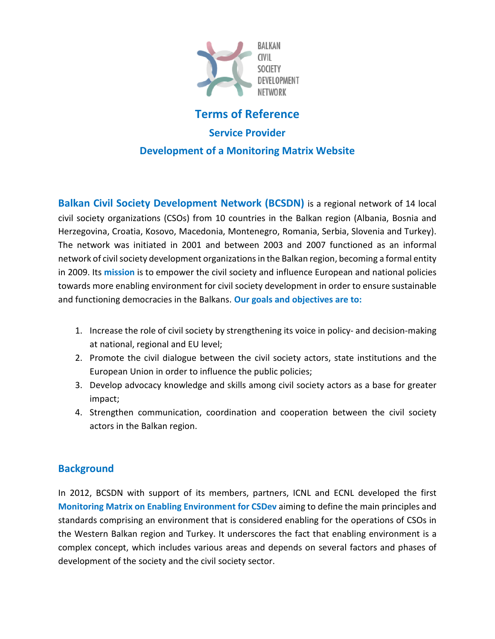

# **Terms of Reference**

#### **Service Provider**

#### **Development of a Monitoring Matrix Website**

**Balkan Civil Society Development Network (BCSDN)** is a regional network of 14 local civil society organizations (CSOs) from 10 countries in the Balkan region (Albania, Bosnia and Herzegovina, Croatia, Kosovo, Macedonia, Montenegro, Romania, Serbia, Slovenia and Turkey). The network was initiated in 2001 and between 2003 and 2007 functioned as an informal network of civil society development organizations in the Balkan region, becoming a formal entity in 2009. Its **mission** is to empower the civil society and influence European and national policies towards more enabling environment for civil society development in order to ensure sustainable and functioning democracies in the Balkans. **Our goals and objectives are to:**

- 1. Increase the role of civil society by strengthening its voice in policy- and decision-making at national, regional and EU level;
- 2. Promote the civil dialogue between the civil society actors, state institutions and the European Union in order to influence the public policies;
- 3. Develop advocacy knowledge and skills among civil society actors as a base for greater impact;
- 4. Strengthen communication, coordination and cooperation between the civil society actors in the Balkan region.

# **Background**

In 2012, BCSDN with support of its members, partners, ICNL and ECNL developed the first **Monitoring Matrix on Enabling Environment for CSDev** aiming to define the main principles and standards comprising an environment that is considered enabling for the operations of CSOs in the Western Balkan region and Turkey. It underscores the fact that enabling environment is a complex concept, which includes various areas and depends on several factors and phases of development of the society and the civil society sector.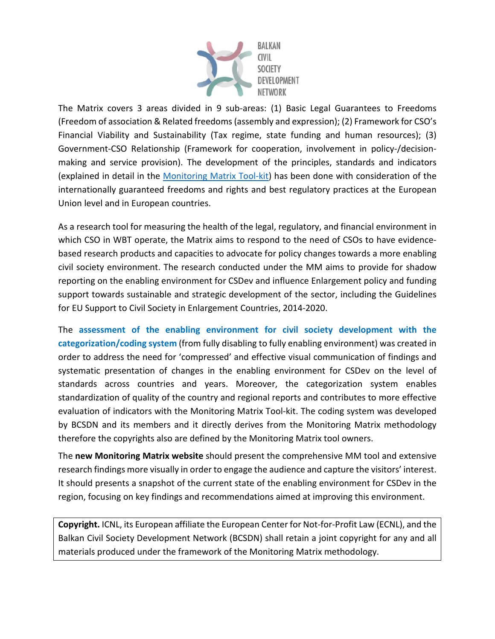

The Matrix covers 3 areas divided in 9 sub-areas: (1) Basic Legal Guarantees to Freedoms (Freedom of association & Related freedoms (assembly and expression); (2) Framework for CSO's Financial Viability and Sustainability (Tax regime, state funding and human resources); (3) Government-CSO Relationship (Framework for cooperation, involvement in policy-/decisionmaking and service provision). The development of the principles, standards and indicators (explained in detail in the Monitoring Matrix Tool-kit) has been done with consideration of the internationally guaranteed freedoms and rights and best regulatory practices at the European Union level and in European countries.

As a research tool for measuring the health of the legal, regulatory, and financial environment in which CSO in WBT operate, the Matrix aims to respond to the need of CSOs to have evidencebased research products and capacities to advocate for policy changes towards a more enabling civil society environment. The research conducted under the MM aims to provide for shadow reporting on the enabling environment for CSDev and influence Enlargement policy and funding support towards sustainable and strategic development of the sector, including the Guidelines for EU Support to Civil Society in Enlargement Countries, 2014-2020.

The **assessment of the enabling environment for civil society development with the categorization/coding system** (from fully disabling to fully enabling environment) was created in order to address the need for 'compressed' and effective visual communication of findings and systematic presentation of changes in the enabling environment for CSDev on the level of standards across countries and years. Moreover, the categorization system enables standardization of quality of the country and regional reports and contributes to more effective evaluation of indicators with the Monitoring Matrix Tool-kit. The coding system was developed by BCSDN and its members and it directly derives from the Monitoring Matrix methodology therefore the copyrights also are defined by the Monitoring Matrix tool owners.

The **new Monitoring Matrix website** should present the comprehensive MM tool and extensive research findings more visually in order to engage the audience and capture the visitors' interest. It should presents a snapshot of the current state of the enabling environment for CSDev in the region, focusing on key findings and recommendations aimed at improving this environment.

**Copyright.** ICNL, its European affiliate the European Center for Not-for-Profit Law (ECNL), and the Balkan Civil Society Development Network (BCSDN) shall retain a joint copyright for any and all materials produced under the framework of the Monitoring Matrix methodology.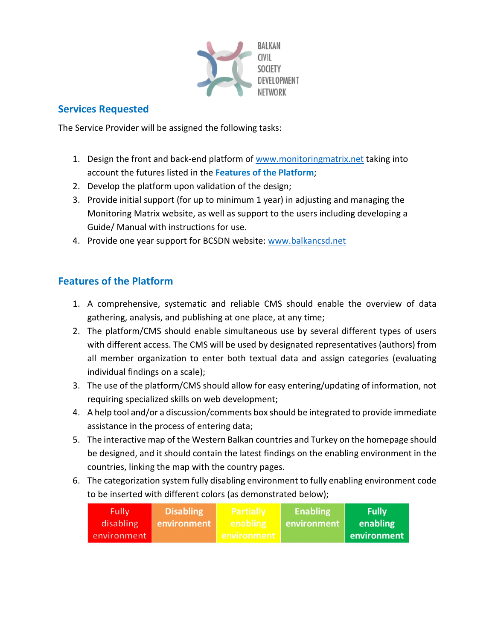

### **Services Requested**

The Service Provider will be assigned the following tasks:

- 1. Design the front and back-end platform of www.monitoringmatrix.net taking into account the futures listed in the **Features of the Platform**;
- 2. Develop the platform upon validation of the design;
- 3. Provide initial support (for up to minimum 1 year) in adjusting and managing the Monitoring Matrix website, as well as support to the users including developing a Guide/ Manual with instructions for use.
- 4. Provide one year support for BCSDN website: www.balkancsd.net

## **Features of the Platform**

- 1. A comprehensive, systematic and reliable CMS should enable the overview of data gathering, analysis, and publishing at one place, at any time;
- 2. The platform/CMS should enable simultaneous use by several different types of users with different access. The CMS will be used by designated representatives (authors) from all member organization to enter both textual data and assign categories (evaluating individual findings on a scale);
- 3. The use of the platform/CMS should allow for easy entering/updating of information, not requiring specialized skills on web development;
- 4. A help tool and/or a discussion/comments box should be integrated to provide immediate assistance in the process of entering data;
- 5. The interactive map of the Western Balkan countries and Turkey on the homepage should be designed, and it should contain the latest findings on the enabling environment in the countries, linking the map with the country pages.
- 6. The categorization system fully disabling environment to fully enabling environment code to be inserted with different colors (as demonstrated below);

| Fully,      | <b>Disabling</b> | Partially   | <b>Enabling</b> | <b>Fully</b> |
|-------------|------------------|-------------|-----------------|--------------|
| disabling   | environment      | enabling    | environment     | enabling     |
| environment |                  | environment |                 | environment  |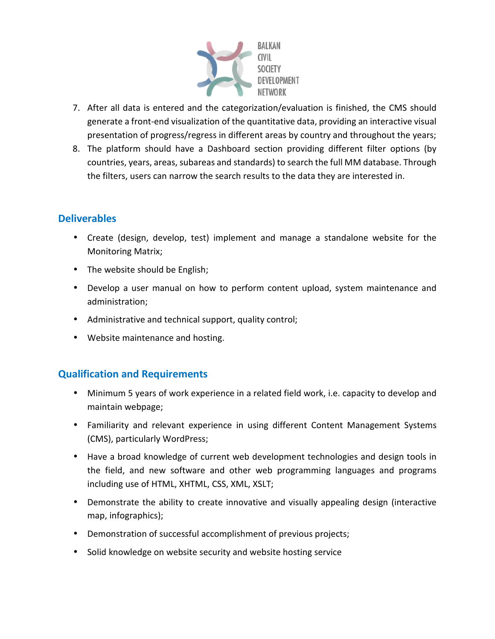

- 7. After all data is entered and the categorization/evaluation is finished, the CMS should generate a front-end visualization of the quantitative data, providing an interactive visual presentation of progress/regress in different areas by country and throughout the years;
- 8. The platform should have a Dashboard section providing different filter options (by countries, years, areas, subareas and standards) to search the full MM database. Through the filters, users can narrow the search results to the data they are interested in.

## **Deliverables**

- Create (design, develop, test) implement and manage a standalone website for the Monitoring Matrix;
- The website should be English;
- Develop a user manual on how to perform content upload, system maintenance and administration;
- Administrative and technical support, quality control;
- Website maintenance and hosting.

## **Qualification and Requirements**

- Minimum 5 years of work experience in a related field work, i.e. capacity to develop and maintain webpage;
- Familiarity and relevant experience in using different Content Management Systems (CMS), particularly WordPress;
- Have a broad knowledge of current web development technologies and design tools in the field, and new software and other web programming languages and programs including use of HTML, XHTML, CSS, XML, XSLT;
- Demonstrate the ability to create innovative and visually appealing design (interactive map, infographics);
- Demonstration of successful accomplishment of previous projects;
- Solid knowledge on website security and website hosting service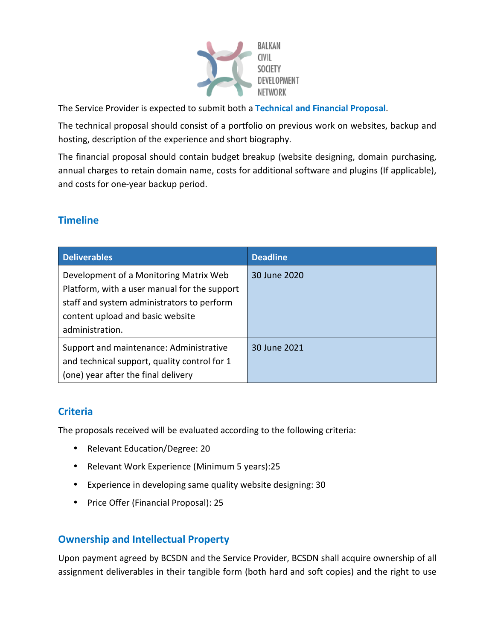

The Service Provider is expected to submit both a **Technical and Financial Proposal**.

The technical proposal should consist of a portfolio on previous work on websites, backup and hosting, description of the experience and short biography.

The financial proposal should contain budget breakup (website designing, domain purchasing, annual charges to retain domain name, costs for additional software and plugins (If applicable), and costs for one-year backup period.

## **Timeline**

| <b>Deliverables</b>                                                                                                                                                                         | <b>Deadline</b> |
|---------------------------------------------------------------------------------------------------------------------------------------------------------------------------------------------|-----------------|
| Development of a Monitoring Matrix Web<br>Platform, with a user manual for the support<br>staff and system administrators to perform<br>content upload and basic website<br>administration. | 30 June 2020    |
| Support and maintenance: Administrative<br>and technical support, quality control for 1<br>(one) year after the final delivery                                                              | 30 June 2021    |

## **Criteria**

The proposals received will be evaluated according to the following criteria:

- Relevant Education/Degree: 20
- Relevant Work Experience (Minimum 5 years):25
- Experience in developing same quality website designing: 30
- Price Offer (Financial Proposal): 25

## **Ownership and Intellectual Property**

Upon payment agreed by BCSDN and the Service Provider, BCSDN shall acquire ownership of all assignment deliverables in their tangible form (both hard and soft copies) and the right to use